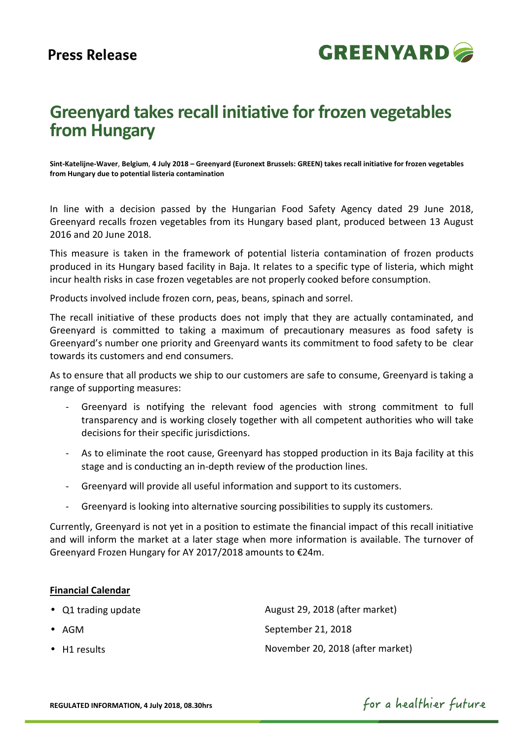

# **Greenyard takes recall initiative for frozen vegetables from Hungary**

**Sint-Katelijne-Waver**, **Belgium**, **4 July 2018 – Greenyard (Euronext Brussels: GREEN) takes recall initiative for frozen vegetables from Hungary due to potential listeria contamination**

In line with a decision passed by the Hungarian Food Safety Agency dated 29 June 2018, Greenyard recalls frozen vegetables from its Hungary based plant, produced between 13 August 2016 and 20 June 2018.

This measure is taken in the framework of potential listeria contamination of frozen products produced in its Hungary based facility in Baja. It relates to a specific type of listeria, which might incur health risks in case frozen vegetables are not properly cooked before consumption.

Products involved include frozen corn, peas, beans, spinach and sorrel.

The recall initiative of these products does not imply that they are actually contaminated, and Greenyard is committed to taking a maximum of precautionary measures as food safety is Greenyard's number one priority and Greenyard wants its commitment to food safety to be clear towards its customers and end consumers.

As to ensure that all products we ship to our customers are safe to consume, Greenyard is taking a range of supporting measures:

- Greenyard is notifying the relevant food agencies with strong commitment to full transparency and is working closely together with all competent authorities who will take decisions for their specific jurisdictions.
- As to eliminate the root cause, Greenyard has stopped production in its Baja facility at this stage and is conducting an in-depth review of the production lines.
- Greenyard will provide all useful information and support to its customers.
- Greenyard is looking into alternative sourcing possibilities to supply its customers.

Currently, Greenyard is not yet in a position to estimate the financial impact of this recall initiative and will inform the market at a later stage when more information is available. The turnover of Greenyard Frozen Hungary for AY 2017/2018 amounts to €24m.

### **Financial Calendar**

• Q1 trading update August 29, 2018 (after market) • AGM September 21, 2018 • H1 results November 20, 2018 (after market)

for a healthier future